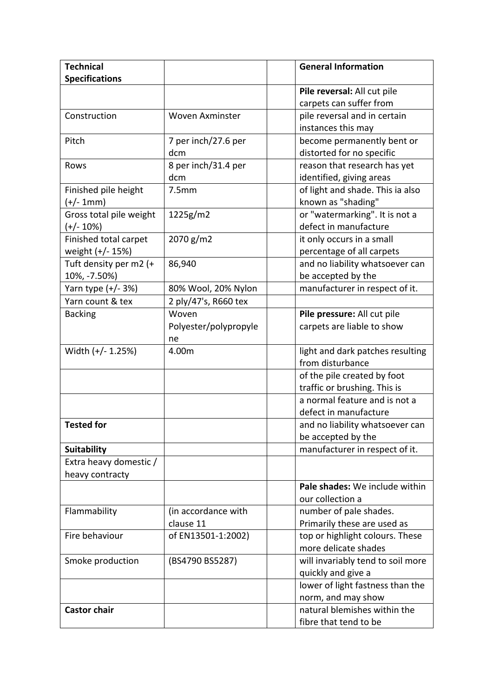| <b>Technical</b>        |                        | <b>General Information</b>                         |
|-------------------------|------------------------|----------------------------------------------------|
| <b>Specifications</b>   |                        |                                                    |
|                         |                        | Pile reversal: All cut pile                        |
|                         |                        | carpets can suffer from                            |
| Construction            | <b>Woven Axminster</b> | pile reversal and in certain                       |
|                         |                        | instances this may                                 |
| Pitch                   | 7 per inch/27.6 per    | become permanently bent or                         |
|                         | dcm                    | distorted for no specific                          |
| Rows                    | 8 per inch/31.4 per    | reason that research has yet                       |
|                         | dcm                    | identified, giving areas                           |
| Finished pile height    | 7.5mm                  | of light and shade. This ia also                   |
| $(+/- 1mm)$             |                        | known as "shading"                                 |
| Gross total pile weight | 1225g/m2               | or "watermarking". It is not a                     |
| $(+/- 10%)$             |                        | defect in manufacture                              |
| Finished total carpet   | 2070 g/m2              | it only occurs in a small                          |
| weight (+/- 15%)        |                        | percentage of all carpets                          |
| Tuft density per m2 (+  | 86,940                 | and no liability whatsoever can                    |
| 10%, -7.50%)            |                        | be accepted by the                                 |
| Yarn type $(+/- 3%)$    | 80% Wool, 20% Nylon    | manufacturer in respect of it.                     |
| Yarn count & tex        | 2 ply/47's, R660 tex   |                                                    |
| <b>Backing</b>          | Woven                  | Pile pressure: All cut pile                        |
|                         | Polyester/polypropyle  | carpets are liable to show                         |
|                         | ne                     |                                                    |
| Width (+/- 1.25%)       | 4.00m                  | light and dark patches resulting                   |
|                         |                        | from disturbance                                   |
|                         |                        | of the pile created by foot                        |
|                         |                        | traffic or brushing. This is                       |
|                         |                        | a normal feature and is not a                      |
|                         |                        | defect in manufacture                              |
| <b>Tested for</b>       |                        | and no liability whatsoever can                    |
|                         |                        | be accepted by the                                 |
| <b>Suitability</b>      |                        | manufacturer in respect of it.                     |
| Extra heavy domestic /  |                        |                                                    |
| heavy contracty         |                        |                                                    |
|                         |                        | Pale shades: We include within                     |
|                         |                        | our collection a                                   |
| Flammability            | (in accordance with    | number of pale shades.                             |
|                         | clause 11              | Primarily these are used as                        |
| Fire behaviour          | of EN13501-1:2002)     | top or highlight colours. These                    |
|                         |                        | more delicate shades                               |
| Smoke production        | (BS4790 BS5287)        | will invariably tend to soil more                  |
|                         |                        | quickly and give a                                 |
|                         |                        | lower of light fastness than the                   |
|                         |                        | norm, and may show<br>natural blemishes within the |
| <b>Castor chair</b>     |                        |                                                    |
|                         |                        | fibre that tend to be                              |